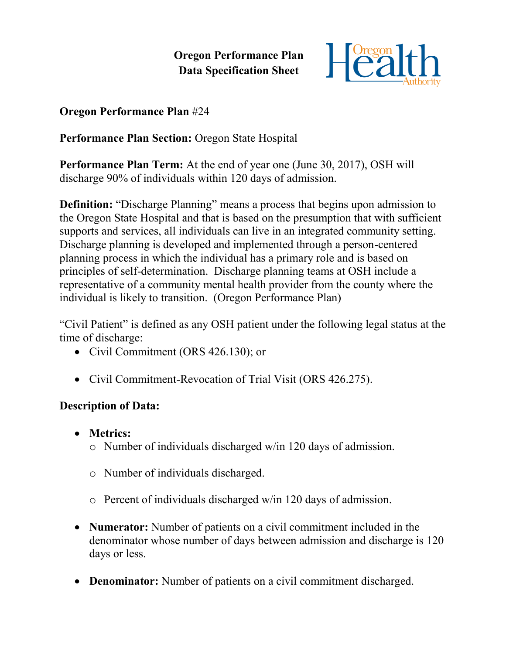**Oregon Performance Plan Data Specification Sheet**



## **Oregon Performance Plan** #24

## **Performance Plan Section:** Oregon State Hospital

**Performance Plan Term:** At the end of year one (June 30, 2017), OSH will discharge 90% of individuals within 120 days of admission.

**Definition:** "Discharge Planning" means a process that begins upon admission to the Oregon State Hospital and that is based on the presumption that with sufficient supports and services, all individuals can live in an integrated community setting. Discharge planning is developed and implemented through a person-centered planning process in which the individual has a primary role and is based on principles of self-determination. Discharge planning teams at OSH include a representative of a community mental health provider from the county where the individual is likely to transition. (Oregon Performance Plan)

"Civil Patient" is defined as any OSH patient under the following legal status at the time of discharge:

- Civil Commitment (ORS 426.130); or
- Civil Commitment-Revocation of Trial Visit (ORS 426.275).

## **Description of Data:**

- **Metrics:**
	- o Number of individuals discharged w/in 120 days of admission.
	- o Number of individuals discharged.
	- o Percent of individuals discharged w/in 120 days of admission.
- **Numerator:** Number of patients on a civil commitment included in the denominator whose number of days between admission and discharge is 120 days or less.
- **Denominator:** Number of patients on a civil commitment discharged.